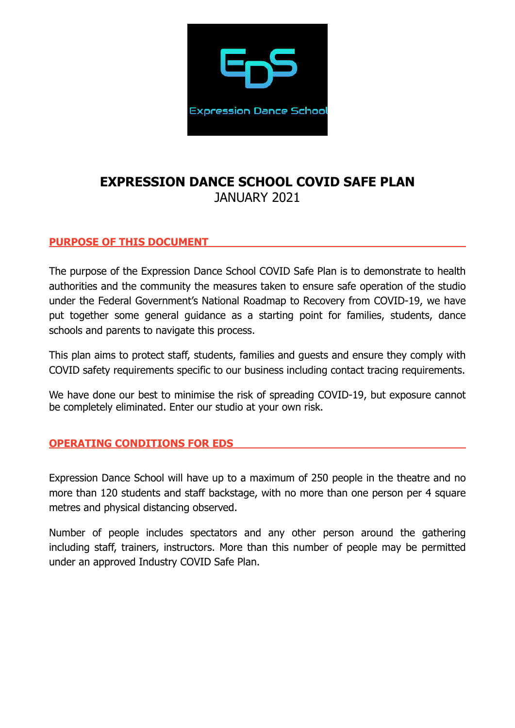

# **EXPRESSION DANCE SCHOOL COVID SAFE PLAN**  JANUARY 2021

#### **PURPOSE OF THIS DOCUMENT**

The purpose of the Expression Dance School COVID Safe Plan is to demonstrate to health authorities and the community the measures taken to ensure safe operation of the studio under the Federal Government's National Roadmap to Recovery from COVID-19, we have put together some general guidance as a starting point for families, students, dance schools and parents to navigate this process.

This plan aims to protect staff, students, families and guests and ensure they comply with COVID safety requirements specific to our business including contact tracing requirements.

We have done our best to minimise the risk of spreading COVID-19, but exposure cannot be completely eliminated. Enter our studio at your own risk.

#### **OPERATING CONDITIONS FOR EDS**

Expression Dance School will have up to a maximum of 250 people in the theatre and no more than 120 students and staff backstage, with no more than one person per 4 square metres and physical distancing observed.

Number of people includes spectators and any other person around the gathering including staff, trainers, instructors. More than this number of people may be permitted under an approved Industry COVID Safe Plan.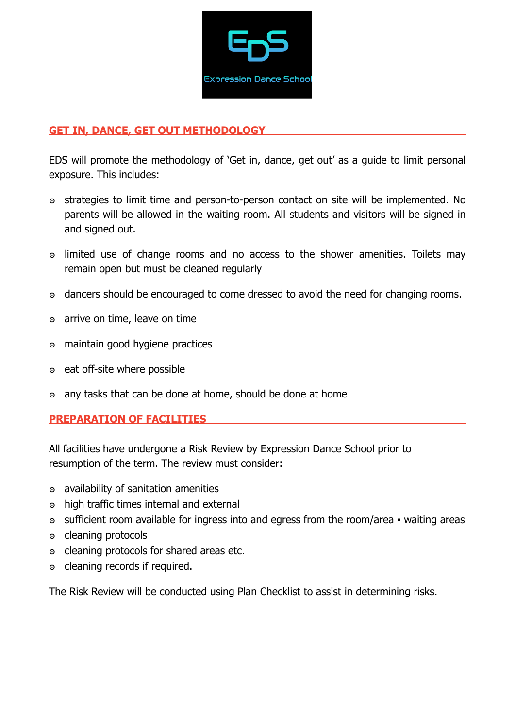

### **GET IN, DANCE, GET OUT METHODOLOGY**

EDS will promote the methodology of 'Get in, dance, get out' as a guide to limit personal exposure. This includes:

- ๏ strategies to limit time and person-to-person contact on site will be implemented. No parents will be allowed in the waiting room. All students and visitors will be signed in and signed out.
- ๏ limited use of change rooms and no access to the shower amenities. Toilets may remain open but must be cleaned regularly
- ๏ dancers should be encouraged to come dressed to avoid the need for changing rooms.
- ๏ arrive on time, leave on time
- ๏ maintain good hygiene practices
- ๏ eat off-site where possible
- ๏ any tasks that can be done at home, should be done at home

## **PREPARATION OF FACILITIES**

All facilities have undergone a Risk Review by Expression Dance School prior to resumption of the term. The review must consider:

- ๏ availability of sanitation amenities
- ๏ high traffic times internal and external
- ๏ sufficient room available for ingress into and egress from the room/area waiting areas
- ๏ cleaning protocols
- ๏ cleaning protocols for shared areas etc.
- ๏ cleaning records if required.

The Risk Review will be conducted using Plan Checklist to assist in determining risks.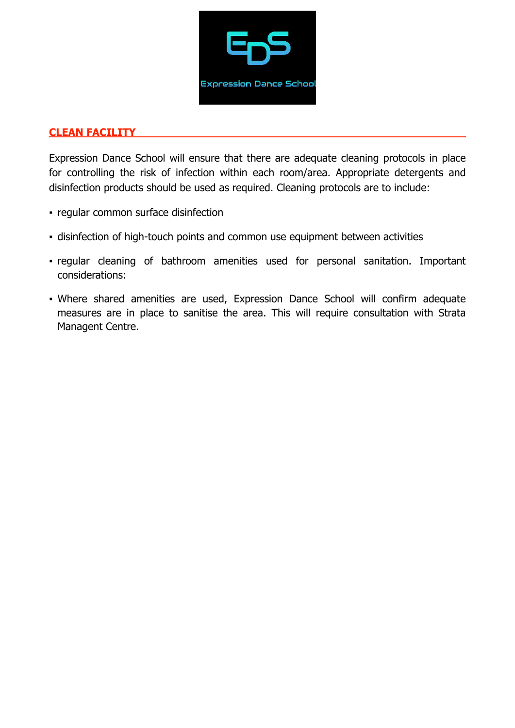

#### **CLEAN FACILITY**

Expression Dance School will ensure that there are adequate cleaning protocols in place for controlling the risk of infection within each room/area. Appropriate detergents and disinfection products should be used as required. Cleaning protocols are to include:

- regular common surface disinfection
- disinfection of high-touch points and common use equipment between activities
- regular cleaning of bathroom amenities used for personal sanitation. Important considerations:
- Where shared amenities are used, Expression Dance School will confirm adequate measures are in place to sanitise the area. This will require consultation with Strata Managent Centre.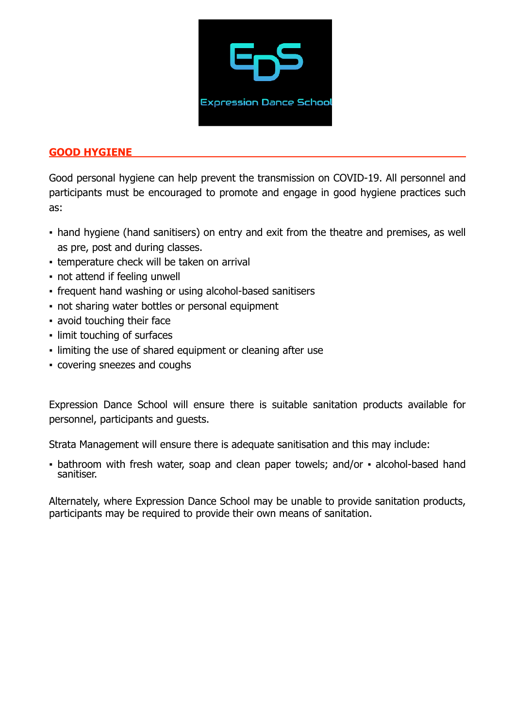

### **GOOD HYGIENE**

Good personal hygiene can help prevent the transmission on COVID-19. All personnel and participants must be encouraged to promote and engage in good hygiene practices such as:

- hand hygiene (hand sanitisers) on entry and exit from the theatre and premises, as well as pre, post and during classes.
- **temperature check will be taken on arrival**
- not attend if feeling unwell
- frequent hand washing or using alcohol-based sanitisers
- not sharing water bottles or personal equipment
- avoid touching their face
- limit touching of surfaces
- limiting the use of shared equipment or cleaning after use
- covering sneezes and coughs

Expression Dance School will ensure there is suitable sanitation products available for personnel, participants and guests.

Strata Management will ensure there is adequate sanitisation and this may include:

• bathroom with fresh water, soap and clean paper towels; and/or • alcohol-based hand sanitiser.

Alternately, where Expression Dance School may be unable to provide sanitation products, participants may be required to provide their own means of sanitation.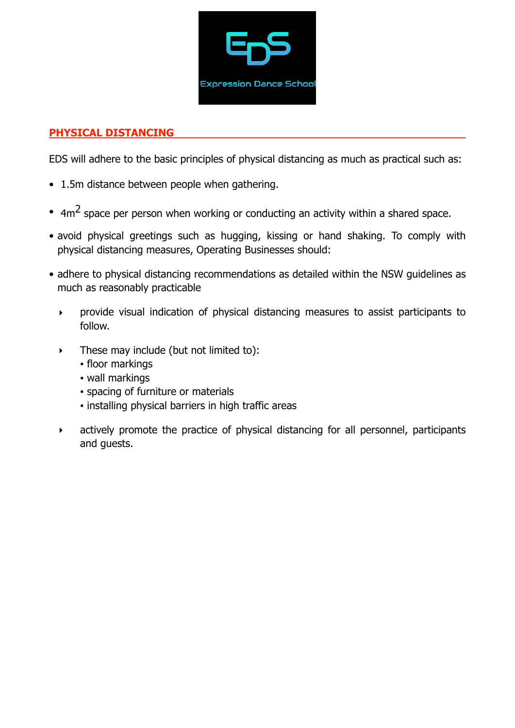

## **PHYSICAL DISTANCING**

EDS will adhere to the basic principles of physical distancing as much as practical such as:

- 1.5m distance between people when gathering.
- $4m<sup>2</sup>$  space per person when working or conducting an activity within a shared space.
- avoid physical greetings such as hugging, kissing or hand shaking. To comply with physical distancing measures, Operating Businesses should:
- adhere to physical distancing recommendations as detailed within the NSW guidelines as much as reasonably practicable
	- ‣ provide visual indication of physical distancing measures to assist participants to follow.
	- $\triangleright$  These may include (but not limited to):
		- floor markings
		- wall markings
		- spacing of furniture or materials
		- installing physical barriers in high traffic areas
	- ‣ actively promote the practice of physical distancing for all personnel, participants and guests.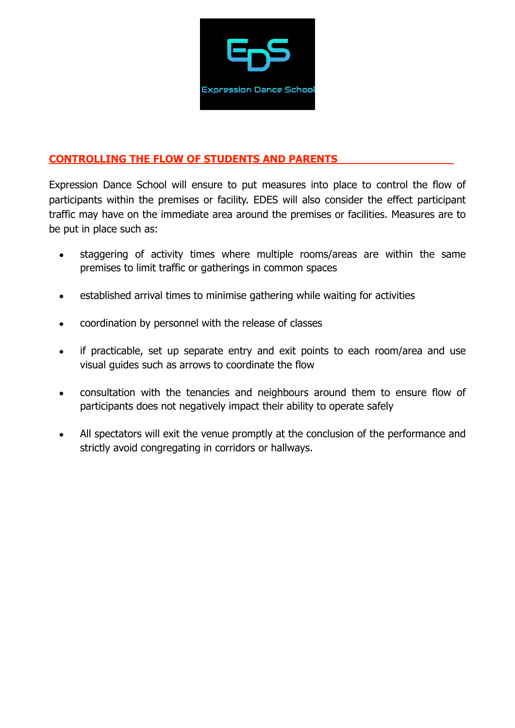

## **CONTROLLING THE FLOW OF STUDENTS AND PARENTS**

Expression Dance School will ensure to put measures into place to control the flow of participants within the premises or facility. EDES will also consider the effect participant traffic may have on the immediate area around the premises or facilities. Measures are to be put in place such as:

- staggering of activity times where multiple rooms/areas are within the same premises to limit traffic or gatherings in common spaces
- established arrival times to minimise gathering while waiting for activities
- coordination by personnel with the release of classes
- if practicable, set up separate entry and exit points to each room/area and use visual guides such as arrows to coordinate the flow
- consultation with the tenancies and neighbours around them to ensure flow of participants does not negatively impact their ability to operate safely
- All spectators will exit the venue promptly at the conclusion of the performance and strictly avoid congregating in corridors or hallways.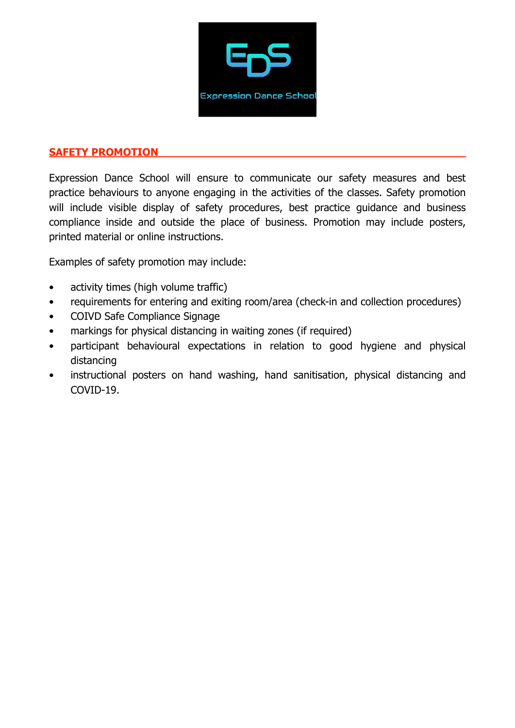

#### **SAFETY PROMOTION**

Expression Dance School will ensure to communicate our safety measures and best practice behaviours to anyone engaging in the activities of the classes. Safety promotion will include visible display of safety procedures, best practice quidance and business compliance inside and outside the place of business. Promotion may include posters, printed material or online instructions.

Examples of safety promotion may include:

- activity times (high volume traffic)
- requirements for entering and exiting room/area (check-in and collection procedures)
- COIVD Safe Compliance Signage
- markings for physical distancing in waiting zones (if required)
- participant behavioural expectations in relation to good hygiene and physical distancing
- instructional posters on hand washing, hand sanitisation, physical distancing and COVID-19.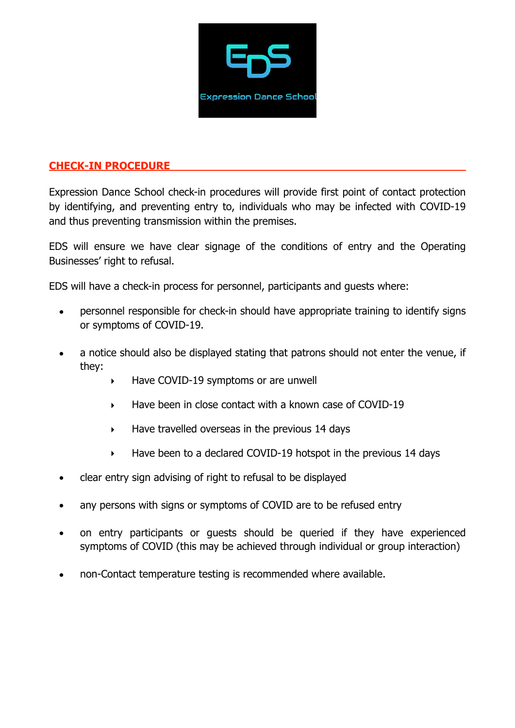

#### **CHECK-IN PROCEDURE**

Expression Dance School check-in procedures will provide first point of contact protection by identifying, and preventing entry to, individuals who may be infected with COVID-19 and thus preventing transmission within the premises.

EDS will ensure we have clear signage of the conditions of entry and the Operating Businesses' right to refusal.

EDS will have a check-in process for personnel, participants and guests where:

- personnel responsible for check-in should have appropriate training to identify signs or symptoms of COVID-19.
- a notice should also be displayed stating that patrons should not enter the venue, if they:
	- ‣ Have COVID-19 symptoms or are unwell
	- ‣ Have been in close contact with a known case of COVID-19
	- $\blacktriangleright$  Have travelled overseas in the previous 14 days
	- ‣ Have been to a declared COVID-19 hotspot in the previous 14 days
- clear entry sign advising of right to refusal to be displayed
- any persons with signs or symptoms of COVID are to be refused entry
- on entry participants or guests should be queried if they have experienced symptoms of COVID (this may be achieved through individual or group interaction)
- non-Contact temperature testing is recommended where available.